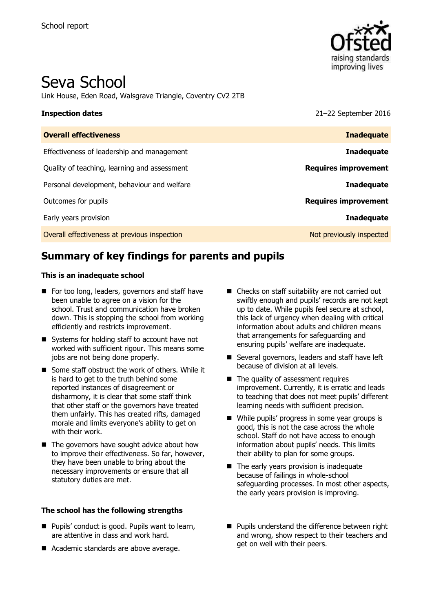

# Seva School

Link House, Eden Road, Walsgrave Triangle, Coventry CV2 2TB

**Inspection dates** 21–22 September 2016

| <b>Overall effectiveness</b>                 | <b>Inadequate</b>           |
|----------------------------------------------|-----------------------------|
| Effectiveness of leadership and management   | <b>Inadequate</b>           |
| Quality of teaching, learning and assessment | <b>Requires improvement</b> |
| Personal development, behaviour and welfare  | <b>Inadequate</b>           |
| Outcomes for pupils                          | <b>Requires improvement</b> |
| Early years provision                        | <b>Inadequate</b>           |
| Overall effectiveness at previous inspection | Not previously inspected    |

# **Summary of key findings for parents and pupils**

#### **This is an inadequate school**

- For too long, leaders, governors and staff have been unable to agree on a vision for the school. Trust and communication have broken down. This is stopping the school from working efficiently and restricts improvement.
- Systems for holding staff to account have not worked with sufficient rigour. This means some jobs are not being done properly.
- Some staff obstruct the work of others. While it is hard to get to the truth behind some reported instances of disagreement or disharmony, it is clear that some staff think that other staff or the governors have treated them unfairly. This has created rifts, damaged morale and limits everyone's ability to get on with their work.
- $\blacksquare$  The governors have sought advice about how to improve their effectiveness. So far, however, they have been unable to bring about the necessary improvements or ensure that all statutory duties are met.

#### **The school has the following strengths**

- **Pupils' conduct is good. Pupils want to learn,** are attentive in class and work hard.
- Academic standards are above average.
- Checks on staff suitability are not carried out swiftly enough and pupils' records are not kept up to date. While pupils feel secure at school, this lack of urgency when dealing with critical information about adults and children means that arrangements for safeguarding and ensuring pupils' welfare are inadequate.
- Several governors, leaders and staff have left because of division at all levels.
- $\blacksquare$  The quality of assessment requires improvement. Currently, it is erratic and leads to teaching that does not meet pupils' different learning needs with sufficient precision.
- While pupils' progress in some year groups is good, this is not the case across the whole school. Staff do not have access to enough information about pupils' needs. This limits their ability to plan for some groups.
- The early years provision is inadequate because of failings in whole-school safeguarding processes. In most other aspects, the early years provision is improving.
- **Pupils understand the difference between right** and wrong, show respect to their teachers and get on well with their peers.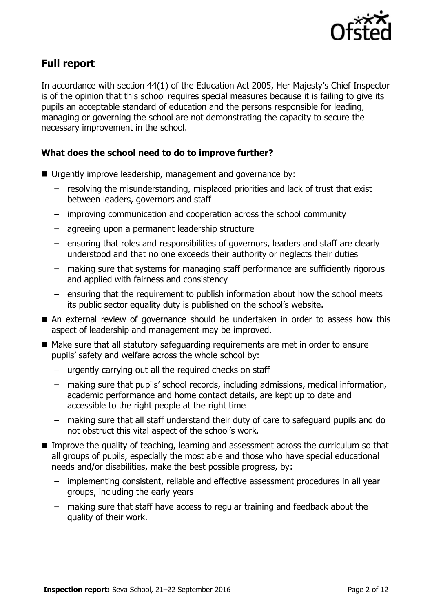

# **Full report**

In accordance with section 44(1) of the Education Act 2005, Her Majesty's Chief Inspector is of the opinion that this school requires special measures because it is failing to give its pupils an acceptable standard of education and the persons responsible for leading, managing or governing the school are not demonstrating the capacity to secure the necessary improvement in the school.

### **What does the school need to do to improve further?**

- Urgently improve leadership, management and governance by:
	- resolving the misunderstanding, misplaced priorities and lack of trust that exist between leaders, governors and staff
	- improving communication and cooperation across the school community
	- agreeing upon a permanent leadership structure
	- ensuring that roles and responsibilities of governors, leaders and staff are clearly understood and that no one exceeds their authority or neglects their duties
	- making sure that systems for managing staff performance are sufficiently rigorous and applied with fairness and consistency
	- ensuring that the requirement to publish information about how the school meets its public sector equality duty is published on the school's website.
- An external review of governance should be undertaken in order to assess how this aspect of leadership and management may be improved.
- Make sure that all statutory safeguarding requirements are met in order to ensure pupils' safety and welfare across the whole school by:
	- urgently carrying out all the required checks on staff
	- making sure that pupils' school records, including admissions, medical information, academic performance and home contact details, are kept up to date and accessible to the right people at the right time
	- making sure that all staff understand their duty of care to safeguard pupils and do not obstruct this vital aspect of the school's work.
- Improve the quality of teaching, learning and assessment across the curriculum so that all groups of pupils, especially the most able and those who have special educational needs and/or disabilities, make the best possible progress, by:
	- implementing consistent, reliable and effective assessment procedures in all year groups, including the early years
	- making sure that staff have access to regular training and feedback about the quality of their work.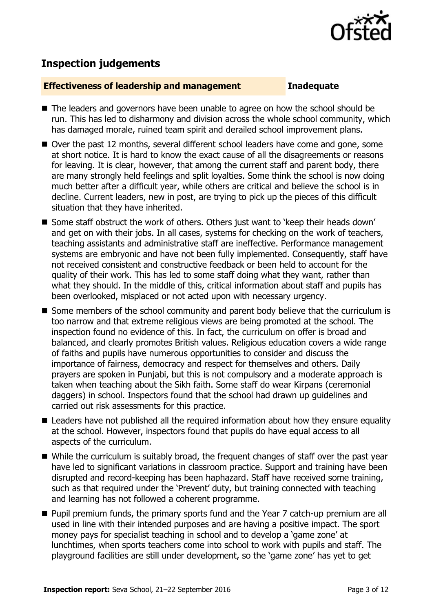

# **Inspection judgements**

#### **Effectiveness of leadership and management Inadequate**

- The leaders and governors have been unable to agree on how the school should be run. This has led to disharmony and division across the whole school community, which has damaged morale, ruined team spirit and derailed school improvement plans.
- Over the past 12 months, several different school leaders have come and gone, some at short notice. It is hard to know the exact cause of all the disagreements or reasons for leaving. It is clear, however, that among the current staff and parent body, there are many strongly held feelings and split loyalties. Some think the school is now doing much better after a difficult year, while others are critical and believe the school is in decline. Current leaders, new in post, are trying to pick up the pieces of this difficult situation that they have inherited.
- Some staff obstruct the work of others. Others just want to 'keep their heads down' and get on with their jobs. In all cases, systems for checking on the work of teachers, teaching assistants and administrative staff are ineffective. Performance management systems are embryonic and have not been fully implemented. Consequently, staff have not received consistent and constructive feedback or been held to account for the quality of their work. This has led to some staff doing what they want, rather than what they should. In the middle of this, critical information about staff and pupils has been overlooked, misplaced or not acted upon with necessary urgency.
- Some members of the school community and parent body believe that the curriculum is too narrow and that extreme religious views are being promoted at the school. The inspection found no evidence of this. In fact, the curriculum on offer is broad and balanced, and clearly promotes British values. Religious education covers a wide range of faiths and pupils have numerous opportunities to consider and discuss the importance of fairness, democracy and respect for themselves and others. Daily prayers are spoken in Punjabi, but this is not compulsory and a moderate approach is taken when teaching about the Sikh faith. Some staff do wear Kirpans (ceremonial daggers) in school. Inspectors found that the school had drawn up guidelines and carried out risk assessments for this practice.
- Leaders have not published all the required information about how they ensure equality at the school. However, inspectors found that pupils do have equal access to all aspects of the curriculum.
- While the curriculum is suitably broad, the frequent changes of staff over the past year have led to significant variations in classroom practice. Support and training have been disrupted and record-keeping has been haphazard. Staff have received some training, such as that required under the 'Prevent' duty, but training connected with teaching and learning has not followed a coherent programme.
- **Pupil premium funds, the primary sports fund and the Year 7 catch-up premium are all** used in line with their intended purposes and are having a positive impact. The sport money pays for specialist teaching in school and to develop a 'game zone' at lunchtimes, when sports teachers come into school to work with pupils and staff. The playground facilities are still under development, so the 'game zone' has yet to get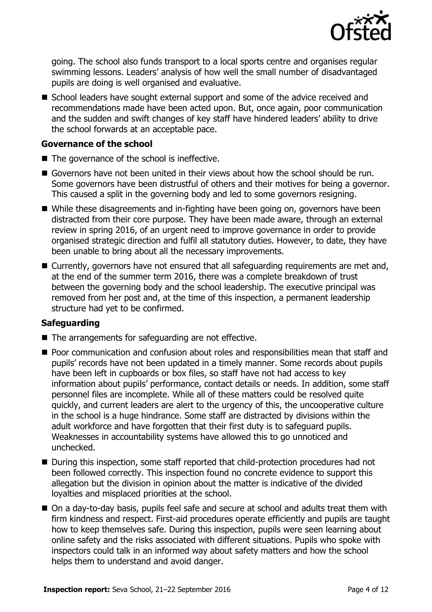

going. The school also funds transport to a local sports centre and organises regular swimming lessons. Leaders' analysis of how well the small number of disadvantaged pupils are doing is well organised and evaluative.

■ School leaders have sought external support and some of the advice received and recommendations made have been acted upon. But, once again, poor communication and the sudden and swift changes of key staff have hindered leaders' ability to drive the school forwards at an acceptable pace.

### **Governance of the school**

- $\blacksquare$  The governance of the school is ineffective.
- Governors have not been united in their views about how the school should be run. Some governors have been distrustful of others and their motives for being a governor. This caused a split in the governing body and led to some governors resigning.
- While these disagreements and in-fighting have been going on, governors have been distracted from their core purpose. They have been made aware, through an external review in spring 2016, of an urgent need to improve governance in order to provide organised strategic direction and fulfil all statutory duties. However, to date, they have been unable to bring about all the necessary improvements.
- Currently, governors have not ensured that all safeguarding requirements are met and, at the end of the summer term 2016, there was a complete breakdown of trust between the governing body and the school leadership. The executive principal was removed from her post and, at the time of this inspection, a permanent leadership structure had yet to be confirmed.

### **Safeguarding**

- The arrangements for safeguarding are not effective.
- **Poor communication and confusion about roles and responsibilities mean that staff and** pupils' records have not been updated in a timely manner. Some records about pupils have been left in cupboards or box files, so staff have not had access to key information about pupils' performance, contact details or needs. In addition, some staff personnel files are incomplete. While all of these matters could be resolved quite quickly, and current leaders are alert to the urgency of this, the uncooperative culture in the school is a huge hindrance. Some staff are distracted by divisions within the adult workforce and have forgotten that their first duty is to safeguard pupils. Weaknesses in accountability systems have allowed this to go unnoticed and unchecked.
- During this inspection, some staff reported that child-protection procedures had not been followed correctly. This inspection found no concrete evidence to support this allegation but the division in opinion about the matter is indicative of the divided loyalties and misplaced priorities at the school.
- On a day-to-day basis, pupils feel safe and secure at school and adults treat them with firm kindness and respect. First-aid procedures operate efficiently and pupils are taught how to keep themselves safe. During this inspection, pupils were seen learning about online safety and the risks associated with different situations. Pupils who spoke with inspectors could talk in an informed way about safety matters and how the school helps them to understand and avoid danger.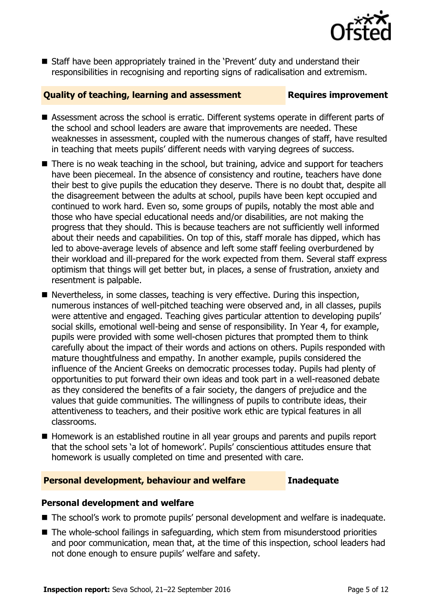

 Staff have been appropriately trained in the 'Prevent' duty and understand their responsibilities in recognising and reporting signs of radicalisation and extremism.

#### **Quality of teaching, learning and assessment Fig. 2.1 Requires improvement**

- Assessment across the school is erratic. Different systems operate in different parts of the school and school leaders are aware that improvements are needed. These weaknesses in assessment, coupled with the numerous changes of staff, have resulted in teaching that meets pupils' different needs with varying degrees of success.
- There is no weak teaching in the school, but training, advice and support for teachers have been piecemeal. In the absence of consistency and routine, teachers have done their best to give pupils the education they deserve. There is no doubt that, despite all the disagreement between the adults at school, pupils have been kept occupied and continued to work hard. Even so, some groups of pupils, notably the most able and those who have special educational needs and/or disabilities, are not making the progress that they should. This is because teachers are not sufficiently well informed about their needs and capabilities. On top of this, staff morale has dipped, which has led to above-average levels of absence and left some staff feeling overburdened by their workload and ill-prepared for the work expected from them. Several staff express optimism that things will get better but, in places, a sense of frustration, anxiety and resentment is palpable.
- Nevertheless, in some classes, teaching is very effective. During this inspection, numerous instances of well-pitched teaching were observed and, in all classes, pupils were attentive and engaged. Teaching gives particular attention to developing pupils' social skills, emotional well-being and sense of responsibility. In Year 4, for example, pupils were provided with some well-chosen pictures that prompted them to think carefully about the impact of their words and actions on others. Pupils responded with mature thoughtfulness and empathy. In another example, pupils considered the influence of the Ancient Greeks on democratic processes today. Pupils had plenty of opportunities to put forward their own ideas and took part in a well-reasoned debate as they considered the benefits of a fair society, the dangers of prejudice and the values that guide communities. The willingness of pupils to contribute ideas, their attentiveness to teachers, and their positive work ethic are typical features in all classrooms.
- Homework is an established routine in all year groups and parents and pupils report that the school sets 'a lot of homework'. Pupils' conscientious attitudes ensure that homework is usually completed on time and presented with care.

#### **Personal development, behaviour and welfare Inadequate**

### **Personal development and welfare**

- The school's work to promote pupils' personal development and welfare is inadequate.
- The whole-school failings in safeguarding, which stem from misunderstood priorities and poor communication, mean that, at the time of this inspection, school leaders had not done enough to ensure pupils' welfare and safety.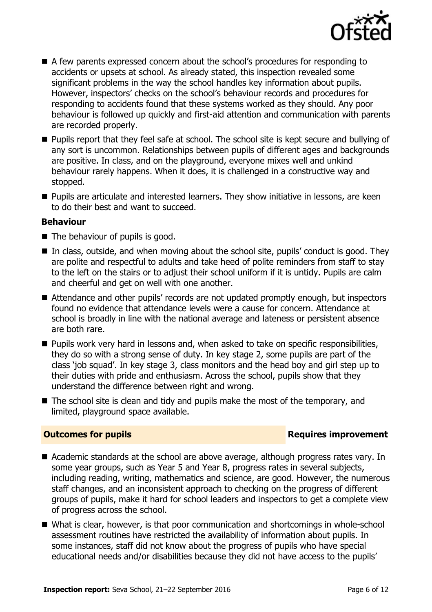

- A few parents expressed concern about the school's procedures for responding to accidents or upsets at school. As already stated, this inspection revealed some significant problems in the way the school handles key information about pupils. However, inspectors' checks on the school's behaviour records and procedures for responding to accidents found that these systems worked as they should. Any poor behaviour is followed up quickly and first-aid attention and communication with parents are recorded properly.
- **Pupils report that they feel safe at school. The school site is kept secure and bullying of** any sort is uncommon. Relationships between pupils of different ages and backgrounds are positive. In class, and on the playground, everyone mixes well and unkind behaviour rarely happens. When it does, it is challenged in a constructive way and stopped.
- **Pupils are articulate and interested learners. They show initiative in lessons, are keen** to do their best and want to succeed.

### **Behaviour**

- The behaviour of pupils is good.
- $\blacksquare$  In class, outside, and when moving about the school site, pupils' conduct is good. They are polite and respectful to adults and take heed of polite reminders from staff to stay to the left on the stairs or to adjust their school uniform if it is untidy. Pupils are calm and cheerful and get on well with one another.
- Attendance and other pupils' records are not updated promptly enough, but inspectors found no evidence that attendance levels were a cause for concern. Attendance at school is broadly in line with the national average and lateness or persistent absence are both rare.
- **Pupils work very hard in lessons and, when asked to take on specific responsibilities,** they do so with a strong sense of duty. In key stage 2, some pupils are part of the class 'job squad'. In key stage 3, class monitors and the head boy and girl step up to their duties with pride and enthusiasm. Across the school, pupils show that they understand the difference between right and wrong.
- $\blacksquare$  The school site is clean and tidy and pupils make the most of the temporary, and limited, playground space available.

#### **Outcomes for pupils Requires improvement**

- Academic standards at the school are above average, although progress rates vary. In some year groups, such as Year 5 and Year 8, progress rates in several subjects, including reading, writing, mathematics and science, are good. However, the numerous staff changes, and an inconsistent approach to checking on the progress of different groups of pupils, make it hard for school leaders and inspectors to get a complete view of progress across the school.
- What is clear, however, is that poor communication and shortcomings in whole-school assessment routines have restricted the availability of information about pupils. In some instances, staff did not know about the progress of pupils who have special educational needs and/or disabilities because they did not have access to the pupils'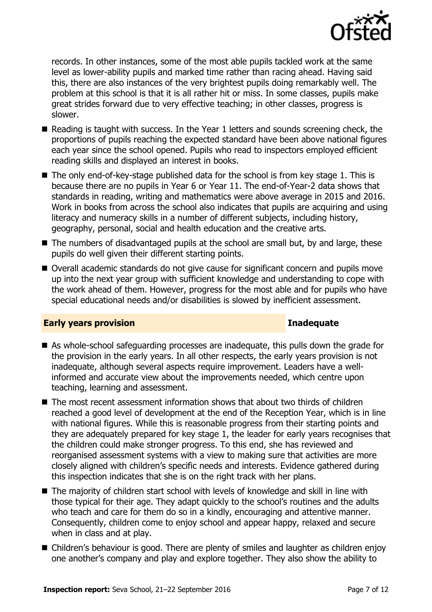

records. In other instances, some of the most able pupils tackled work at the same level as lower-ability pupils and marked time rather than racing ahead. Having said this, there are also instances of the very brightest pupils doing remarkably well. The problem at this school is that it is all rather hit or miss. In some classes, pupils make great strides forward due to very effective teaching; in other classes, progress is slower.

- Reading is taught with success. In the Year 1 letters and sounds screening check, the proportions of pupils reaching the expected standard have been above national figures each year since the school opened. Pupils who read to inspectors employed efficient reading skills and displayed an interest in books.
- $\blacksquare$  The only end-of-key-stage published data for the school is from key stage 1. This is because there are no pupils in Year 6 or Year 11. The end-of-Year-2 data shows that standards in reading, writing and mathematics were above average in 2015 and 2016. Work in books from across the school also indicates that pupils are acquiring and using literacy and numeracy skills in a number of different subjects, including history, geography, personal, social and health education and the creative arts.
- The numbers of disadvantaged pupils at the school are small but, by and large, these pupils do well given their different starting points.
- Overall academic standards do not give cause for significant concern and pupils move up into the next year group with sufficient knowledge and understanding to cope with the work ahead of them. However, progress for the most able and for pupils who have special educational needs and/or disabilities is slowed by inefficient assessment.

#### **Early years provision Inadequate**

- As whole-school safeguarding processes are inadequate, this pulls down the grade for the provision in the early years. In all other respects, the early years provision is not inadequate, although several aspects require improvement. Leaders have a wellinformed and accurate view about the improvements needed, which centre upon teaching, learning and assessment.
- $\blacksquare$  The most recent assessment information shows that about two thirds of children reached a good level of development at the end of the Reception Year, which is in line with national figures. While this is reasonable progress from their starting points and they are adequately prepared for key stage 1, the leader for early years recognises that the children could make stronger progress. To this end, she has reviewed and reorganised assessment systems with a view to making sure that activities are more closely aligned with children's specific needs and interests. Evidence gathered during this inspection indicates that she is on the right track with her plans.
- The majority of children start school with levels of knowledge and skill in line with those typical for their age. They adapt quickly to the school's routines and the adults who teach and care for them do so in a kindly, encouraging and attentive manner. Consequently, children come to enjoy school and appear happy, relaxed and secure when in class and at play.
- Children's behaviour is good. There are plenty of smiles and laughter as children enjoy one another's company and play and explore together. They also show the ability to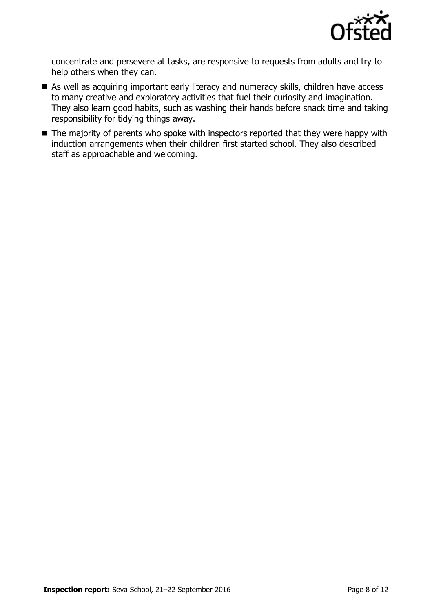

concentrate and persevere at tasks, are responsive to requests from adults and try to help others when they can.

- As well as acquiring important early literacy and numeracy skills, children have access to many creative and exploratory activities that fuel their curiosity and imagination. They also learn good habits, such as washing their hands before snack time and taking responsibility for tidying things away.
- The majority of parents who spoke with inspectors reported that they were happy with induction arrangements when their children first started school. They also described staff as approachable and welcoming.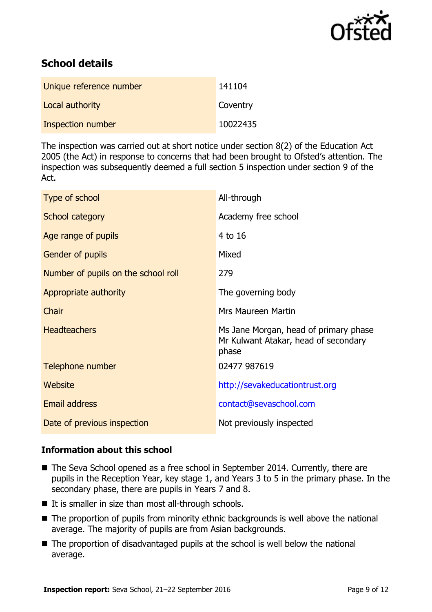

# **School details**

| Unique reference number | 141104   |
|-------------------------|----------|
| Local authority         | Coventry |
| Inspection number       | 10022435 |

The inspection was carried out at short notice under section 8(2) of the Education Act 2005 (the Act) in response to concerns that had been brought to Ofsted's attention. The inspection was subsequently deemed a full section 5 inspection under section 9 of the Act.

| Type of school                      | All-through                                                                            |
|-------------------------------------|----------------------------------------------------------------------------------------|
| School category                     | Academy free school                                                                    |
| Age range of pupils                 | 4 to 16                                                                                |
| Gender of pupils                    | Mixed                                                                                  |
| Number of pupils on the school roll | 279                                                                                    |
| Appropriate authority               | The governing body                                                                     |
| Chair                               | <b>Mrs Maureen Martin</b>                                                              |
| <b>Headteachers</b>                 | Ms Jane Morgan, head of primary phase<br>Mr Kulwant Atakar, head of secondary<br>phase |
| Telephone number                    | 02477 987619                                                                           |
| Website                             | http://sevakeducationtrust.org                                                         |
| Email address                       | contact@sevaschool.com                                                                 |
| Date of previous inspection         | Not previously inspected                                                               |

### **Information about this school**

- The Seva School opened as a free school in September 2014. Currently, there are pupils in the Reception Year, key stage 1, and Years 3 to 5 in the primary phase. In the secondary phase, there are pupils in Years 7 and 8.
- $\blacksquare$  It is smaller in size than most all-through schools.
- The proportion of pupils from minority ethnic backgrounds is well above the national average. The majority of pupils are from Asian backgrounds.
- The proportion of disadvantaged pupils at the school is well below the national average.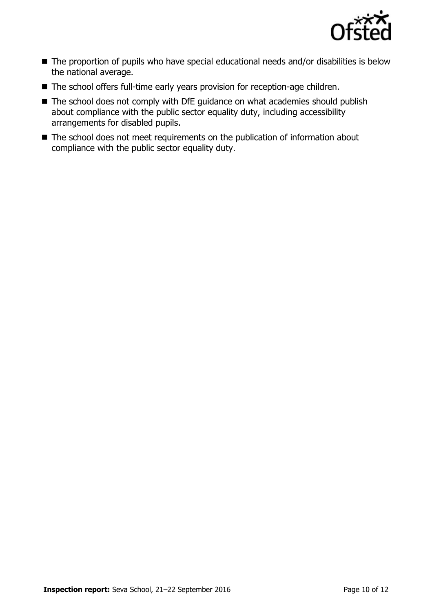

- The proportion of pupils who have special educational needs and/or disabilities is below the national average.
- The school offers full-time early years provision for reception-age children.
- The school does not comply with DfE guidance on what academies should publish about compliance with the public sector equality duty, including accessibility arrangements for disabled pupils.
- The school does not meet requirements on the publication of information about compliance with the public sector equality duty.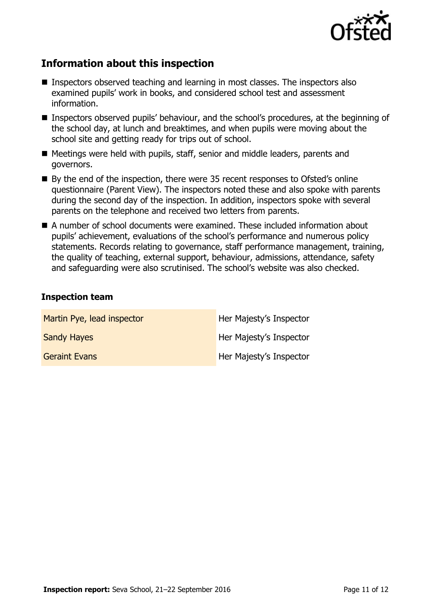

# **Information about this inspection**

- Inspectors observed teaching and learning in most classes. The inspectors also examined pupils' work in books, and considered school test and assessment information.
- Inspectors observed pupils' behaviour, and the school's procedures, at the beginning of the school day, at lunch and breaktimes, and when pupils were moving about the school site and getting ready for trips out of school.
- Meetings were held with pupils, staff, senior and middle leaders, parents and governors.
- By the end of the inspection, there were 35 recent responses to Ofsted's online questionnaire (Parent View). The inspectors noted these and also spoke with parents during the second day of the inspection. In addition, inspectors spoke with several parents on the telephone and received two letters from parents.
- A number of school documents were examined. These included information about pupils' achievement, evaluations of the school's performance and numerous policy statements. Records relating to governance, staff performance management, training, the quality of teaching, external support, behaviour, admissions, attendance, safety and safeguarding were also scrutinised. The school's website was also checked.

### **Inspection team**

| Martin Pye, lead inspector | Her Majesty's Inspector |
|----------------------------|-------------------------|
| <b>Sandy Hayes</b>         | Her Majesty's Inspector |
| <b>Geraint Evans</b>       | Her Majesty's Inspector |